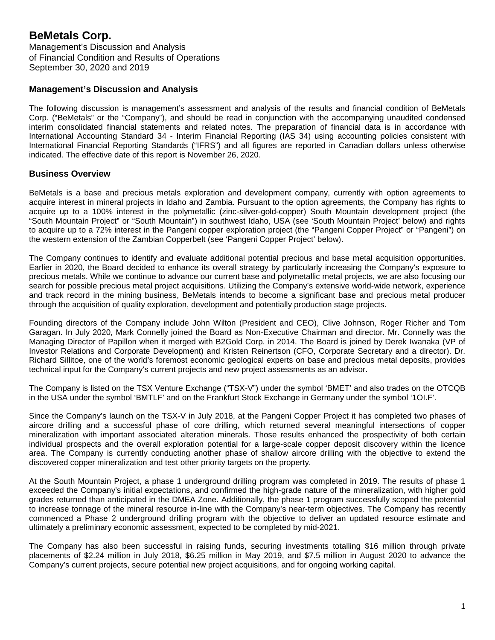### **Management's Discussion and Analysis**

The following discussion is management's assessment and analysis of the results and financial condition of BeMetals Corp. ("BeMetals" or the "Company"), and should be read in conjunction with the accompanying unaudited condensed interim consolidated financial statements and related notes. The preparation of financial data is in accordance with International Accounting Standard 34 - Interim Financial Reporting (IAS 34) using accounting policies consistent with International Financial Reporting Standards ("IFRS") and all figures are reported in Canadian dollars unless otherwise indicated. The effective date of this report is November 26, 2020.

# **Business Overview**

BeMetals is a base and precious metals exploration and development company, currently with option agreements to acquire interest in mineral projects in Idaho and Zambia. Pursuant to the option agreements, the Company has rights to acquire up to a 100% interest in the polymetallic (zinc-silver-gold-copper) South Mountain development project (the "South Mountain Project" or "South Mountain") in southwest Idaho, USA (see 'South Mountain Project' below) and rights to acquire up to a 72% interest in the Pangeni copper exploration project (the "Pangeni Copper Project" or "Pangeni") on the western extension of the Zambian Copperbelt (see 'Pangeni Copper Project' below).

The Company continues to identify and evaluate additional potential precious and base metal acquisition opportunities. Earlier in 2020, the Board decided to enhance its overall strategy by particularly increasing the Company's exposure to precious metals. While we continue to advance our current base and polymetallic metal projects, we are also focusing our search for possible precious metal project acquisitions. Utilizing the Company's extensive world-wide network, experience and track record in the mining business, BeMetals intends to become a significant base and precious metal producer through the acquisition of quality exploration, development and potentially production stage projects.

Founding directors of the Company include John Wilton (President and CEO), Clive Johnson, Roger Richer and Tom Garagan. In July 2020, Mark Connelly joined the Board as Non-Executive Chairman and director. Mr. Connelly was the Managing Director of Papillon when it merged with B2Gold Corp. in 2014. The Board is joined by Derek Iwanaka (VP of Investor Relations and Corporate Development) and Kristen Reinertson (CFO, Corporate Secretary and a director). Dr. Richard Sillitoe, one of the world's foremost economic geological experts on base and precious metal deposits, provides technical input for the Company's current projects and new project assessments as an advisor.

The Company is listed on the TSX Venture Exchange ("TSX-V") under the symbol 'BMET' and also trades on the OTCQB in the USA under the symbol 'BMTLF' and on the Frankfurt Stock Exchange in Germany under the symbol '1OI.F'.

Since the Company's launch on the TSX-V in July 2018, at the Pangeni Copper Project it has completed two phases of aircore drilling and a successful phase of core drilling, which returned several meaningful intersections of copper mineralization with important associated alteration minerals. Those results enhanced the prospectivity of both certain individual prospects and the overall exploration potential for a large-scale copper deposit discovery within the licence area. The Company is currently conducting another phase of shallow aircore drilling with the objective to extend the discovered copper mineralization and test other priority targets on the property.

At the South Mountain Project, a phase 1 underground drilling program was completed in 2019. The results of phase 1 exceeded the Company's initial expectations, and confirmed the high-grade nature of the mineralization, with higher gold grades returned than anticipated in the DMEA Zone. Additionally, the phase 1 program successfully scoped the potential to increase tonnage of the mineral resource in-line with the Company's near-term objectives. The Company has recently commenced a Phase 2 underground drilling program with the objective to deliver an updated resource estimate and ultimately a preliminary economic assessment, expected to be completed by mid-2021.

The Company has also been successful in raising funds, securing investments totalling \$16 million through private placements of \$2.24 million in July 2018, \$6.25 million in May 2019, and \$7.5 million in August 2020 to advance the Company's current projects, secure potential new project acquisitions, and for ongoing working capital.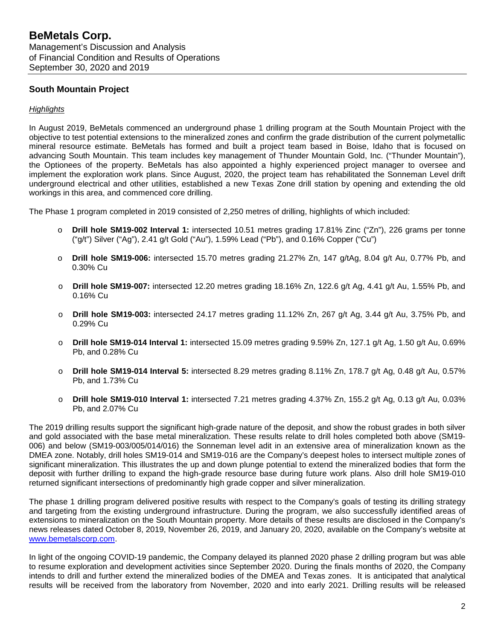# **South Mountain Project**

#### *Highlights*

In August 2019, BeMetals commenced an underground phase 1 drilling program at the South Mountain Project with the objective to test potential extensions to the mineralized zones and confirm the grade distribution of the current polymetallic mineral resource estimate. BeMetals has formed and built a project team based in Boise, Idaho that is focused on advancing South Mountain. This team includes key management of Thunder Mountain Gold, Inc. ("Thunder Mountain"), the Optionees of the property. BeMetals has also appointed a highly experienced project manager to oversee and implement the exploration work plans. Since August, 2020, the project team has rehabilitated the Sonneman Level drift underground electrical and other utilities, established a new Texas Zone drill station by opening and extending the old workings in this area, and commenced core drilling.

The Phase 1 program completed in 2019 consisted of 2,250 metres of drilling, highlights of which included:

- o **Drill hole SM19-002 Interval 1:** intersected 10.51 metres grading 17.81% Zinc ("Zn"), 226 grams per tonne ("g/t") Silver ("Ag"), 2.41 g/t Gold ("Au"), 1.59% Lead ("Pb"), and 0.16% Copper ("Cu")
- o **Drill hole SM19-006:** intersected 15.70 metres grading 21.27% Zn, 147 g/tAg, 8.04 g/t Au, 0.77% Pb, and 0.30% Cu
- o **Drill hole SM19-007:** intersected 12.20 metres grading 18.16% Zn, 122.6 g/t Ag, 4.41 g/t Au, 1.55% Pb, and 0.16% Cu
- o **Drill hole SM19-003:** intersected 24.17 metres grading 11.12% Zn, 267 g/t Ag, 3.44 g/t Au, 3.75% Pb, and 0.29% Cu
- o **Drill hole SM19-014 Interval 1:** intersected 15.09 metres grading 9.59% Zn, 127.1 g/t Ag, 1.50 g/t Au, 0.69% Pb, and 0.28% Cu
- o **Drill hole SM19-014 Interval 5:** intersected 8.29 metres grading 8.11% Zn, 178.7 g/t Ag, 0.48 g/t Au, 0.57% Pb, and 1.73% Cu
- o **Drill hole SM19-010 Interval 1:** intersected 7.21 metres grading 4.37% Zn, 155.2 g/t Ag, 0.13 g/t Au, 0.03% Pb, and 2.07% Cu

The 2019 drilling results support the significant high-grade nature of the deposit, and show the robust grades in both silver and gold associated with the base metal mineralization. These results relate to drill holes completed both above (SM19- 006) and below (SM19-003/005/014/016) the Sonneman level adit in an extensive area of mineralization known as the DMEA zone. Notably, drill holes SM19-014 and SM19-016 are the Company's deepest holes to intersect multiple zones of significant mineralization. This illustrates the up and down plunge potential to extend the mineralized bodies that form the deposit with further drilling to expand the high-grade resource base during future work plans. Also drill hole SM19-010 returned significant intersections of predominantly high grade copper and silver mineralization.

The phase 1 drilling program delivered positive results with respect to the Company's goals of testing its drilling strategy and targeting from the existing underground infrastructure. During the program, we also successfully identified areas of extensions to mineralization on the South Mountain property. More details of these results are disclosed in the Company's news releases dated October 8, 2019, November 26, 2019, and January 20, 2020, available on the Company's website at [www.bemetalscorp.com.](http://www.bemetalscorp.com/)

In light of the ongoing COVID-19 pandemic, the Company delayed its planned 2020 phase 2 drilling program but was able to resume exploration and development activities since September 2020. During the finals months of 2020, the Company intends to drill and further extend the mineralized bodies of the DMEA and Texas zones. It is anticipated that analytical results will be received from the laboratory from November, 2020 and into early 2021. Drilling results will be released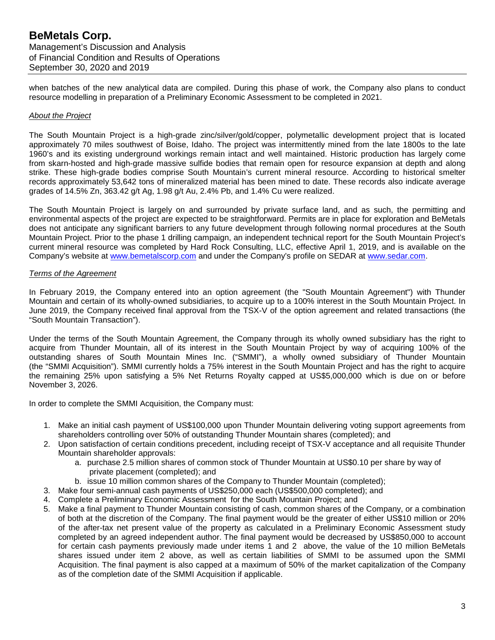when batches of the new analytical data are compiled. During this phase of work, the Company also plans to conduct resource modelling in preparation of a Preliminary Economic Assessment to be completed in 2021.

#### *About the Project*

The South Mountain Project is a high-grade zinc/silver/gold/copper, polymetallic development project that is located approximately 70 miles southwest of Boise, Idaho. The project was intermittently mined from the late 1800s to the late 1960's and its existing underground workings remain intact and well maintained. Historic production has largely come from skarn-hosted and high-grade massive sulfide bodies that remain open for resource expansion at depth and along strike. These high-grade bodies comprise South Mountain's current mineral resource. According to historical smelter records approximately 53,642 tons of mineralized material has been mined to date. These records also indicate average grades of 14.5% Zn, 363.42 g/t Ag, 1.98 g/t Au, 2.4% Pb, and 1.4% Cu were realized.

The South Mountain Project is largely on and surrounded by private surface land, and as such, the permitting and environmental aspects of the project are expected to be straightforward. Permits are in place for exploration and BeMetals does not anticipate any significant barriers to any future development through following normal procedures at the South Mountain Project. Prior to the phase 1 drilling campaign, an independent technical report for the South Mountain Project's current mineral resource was completed by Hard Rock Consulting, LLC, effective April 1, 2019, and is available on the Company's website at [www.bemetalscorp.com](http://www.bemetalscorp.com/) and under the Company's profile on SEDAR at [www.sedar.com.](http://www.sedar.com/)

#### *Terms of the Agreement*

In February 2019, the Company entered into an option agreement (the "South Mountain Agreement") with Thunder Mountain and certain of its wholly-owned subsidiaries, to acquire up to a 100% interest in the South Mountain Project. In June 2019, the Company received final approval from the TSX-V of the option agreement and related transactions (the "South Mountain Transaction").

Under the terms of the South Mountain Agreement, the Company through its wholly owned subsidiary has the right to acquire from Thunder Mountain, all of its interest in the South Mountain Project by way of acquiring 100% of the outstanding shares of South Mountain Mines Inc. ("SMMI"), a wholly owned subsidiary of Thunder Mountain (the "SMMI Acquisition"). SMMI currently holds a 75% interest in the South Mountain Project and has the right to acquire the remaining 25% upon satisfying a 5% Net Returns Royalty capped at US\$5,000,000 which is due on or before November 3, 2026.

In order to complete the SMMI Acquisition, the Company must:

- 1. Make an initial cash payment of US\$100,000 upon Thunder Mountain delivering voting support agreements from shareholders controlling over 50% of outstanding Thunder Mountain shares (completed); and
- 2. Upon satisfaction of certain conditions precedent, including receipt of TSX-V acceptance and all requisite Thunder Mountain shareholder approvals:
	- a. purchase 2.5 million shares of common stock of Thunder Mountain at US\$0.10 per share by way of private placement (completed); and
	- b. issue 10 million common shares of the Company to Thunder Mountain (completed);
- 3. Make four semi-annual cash payments of US\$250,000 each (US\$500,000 completed); and
- 4. Complete a Preliminary Economic Assessment for the South Mountain Project; and
- 5. Make a final payment to Thunder Mountain consisting of cash, common shares of the Company, or a combination of both at the discretion of the Company. The final payment would be the greater of either US\$10 million or 20% of the after-tax net present value of the property as calculated in a Preliminary Economic Assessment study completed by an agreed independent author. The final payment would be decreased by US\$850,000 to account for certain cash payments previously made under items 1 and 2 above, the value of the 10 million BeMetals shares issued under item 2 above, as well as certain liabilities of SMMI to be assumed upon the SMMI Acquisition. The final payment is also capped at a maximum of 50% of the market capitalization of the Company as of the completion date of the SMMI Acquisition if applicable.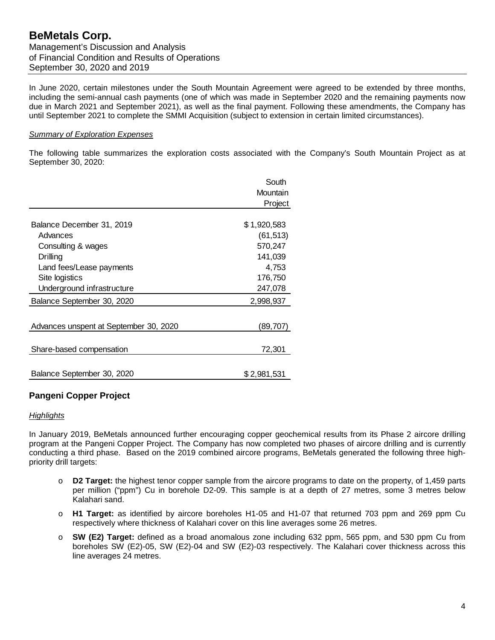In June 2020, certain milestones under the South Mountain Agreement were agreed to be extended by three months, including the semi-annual cash payments (one of which was made in September 2020 and the remaining payments now due in March 2021 and September 2021), as well as the final payment. Following these amendments, the Company has until September 2021 to complete the SMMI Acquisition (subject to extension in certain limited circumstances).

#### *Summary of Exploration Expenses*

The following table summarizes the exploration costs associated with the Company's South Mountain Project as at September 30, 2020:

|                                        | South       |
|----------------------------------------|-------------|
|                                        | Mountain    |
|                                        | Project     |
|                                        |             |
| Balance December 31, 2019              | \$1,920,583 |
| Advances                               | (61, 513)   |
| Consulting & wages                     | 570,247     |
| Drilling                               | 141,039     |
| Land fees/Lease payments               | 4,753       |
| Site logistics                         | 176,750     |
| Underground infrastructure             | 247,078     |
| Balance September 30, 2020             | 2,998,937   |
|                                        |             |
| Advances unspent at September 30, 2020 | (89,707)    |
|                                        |             |
| Share-based compensation               | 72,301      |
|                                        |             |
| Balance September 30, 2020             | \$2,981,531 |

# **Pangeni Copper Project**

#### *Highlights*

In January 2019, BeMetals announced further encouraging copper geochemical results from its Phase 2 aircore drilling program at the Pangeni Copper Project. The Company has now completed two phases of aircore drilling and is currently conducting a third phase. Based on the 2019 combined aircore programs, BeMetals generated the following three highpriority drill targets:

- o **D2 Target:** the highest tenor copper sample from the aircore programs to date on the property, of 1,459 parts per million ("ppm") Cu in borehole D2-09. This sample is at a depth of 27 metres, some 3 metres below Kalahari sand.
- o **H1 Target:** as identified by aircore boreholes H1-05 and H1-07 that returned 703 ppm and 269 ppm Cu respectively where thickness of Kalahari cover on this line averages some 26 metres.
- o **SW (E2) Target:** defined as a broad anomalous zone including 632 ppm, 565 ppm, and 530 ppm Cu from boreholes SW (E2)-05, SW (E2)-04 and SW (E2)-03 respectively. The Kalahari cover thickness across this line averages 24 metres.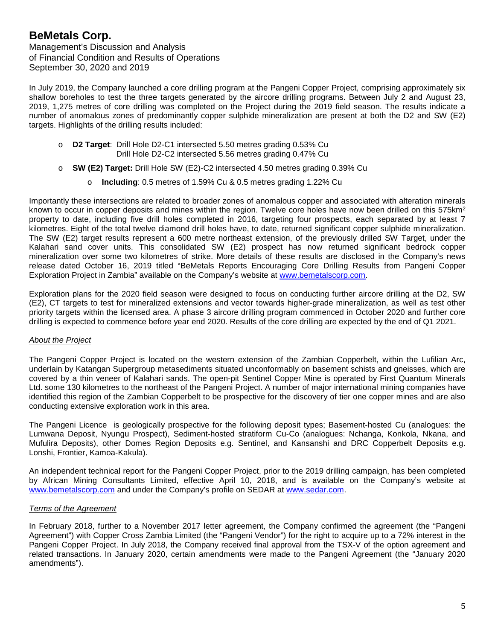In July 2019, the Company launched a core drilling program at the Pangeni Copper Project, comprising approximately six shallow boreholes to test the three targets generated by the aircore drilling programs. Between July 2 and August 23, 2019, 1,275 metres of core drilling was completed on the Project during the 2019 field season. The results indicate a number of anomalous zones of predominantly copper sulphide mineralization are present at both the D2 and SW (E2) targets. Highlights of the drilling results included:

- **D2 Target:** Drill Hole D2-C1 intersected 5.50 metres grading 0.53% Cu Drill Hole D2-C2 intersected 5.56 metres grading 0.47% Cu
- o **SW (E2) Target:** Drill Hole SW (E2)-C2 intersected 4.50 metres grading 0.39% Cu
	- o **Including**: 0.5 metres of 1.59% Cu & 0.5 metres grading 1.22% Cu

Importantly these intersections are related to broader zones of anomalous copper and associated with alteration minerals known to occur in copper deposits and mines within the region. Twelve core holes have now been drilled on this 575km<sup>2</sup> property to date, including five drill holes completed in 2016, targeting four prospects, each separated by at least 7 kilometres. Eight of the total twelve diamond drill holes have, to date, returned significant copper sulphide mineralization. The SW (E2) target results represent a 600 metre northeast extension, of the previously drilled SW Target, under the Kalahari sand cover units. This consolidated SW (E2) prospect has now returned significant bedrock copper mineralization over some two kilometres of strike. More details of these results are disclosed in the Company's news release dated October 16, 2019 titled "BeMetals Reports Encouraging Core Drilling Results from Pangeni Copper Exploration Project in Zambia" available on the Company's website at [www.bemetalscorp.com.](http://www.bemetalscorp.com/)

Exploration plans for the 2020 field season were designed to focus on conducting further aircore drilling at the D2, SW (E2), CT targets to test for mineralized extensions and vector towards higher-grade mineralization, as well as test other priority targets within the licensed area. A phase 3 aircore drilling program commenced in October 2020 and further core drilling is expected to commence before year end 2020. Results of the core drilling are expected by the end of Q1 2021.

#### *About the Project*

The Pangeni Copper Project is located on the western extension of the Zambian Copperbelt, within the Lufilian Arc, underlain by Katangan Supergroup metasediments situated unconformably on basement schists and gneisses, which are covered by a thin veneer of Kalahari sands. The open-pit Sentinel Copper Mine is operated by First Quantum Minerals Ltd. some 130 kilometres to the northeast of the Pangeni Project. A number of major international mining companies have identified this region of the Zambian Copperbelt to be prospective for the discovery of tier one copper mines and are also conducting extensive exploration work in this area.

The Pangeni Licence is geologically prospective for the following deposit types; Basement-hosted Cu (analogues: the Lumwana Deposit, Nyungu Prospect), Sediment-hosted stratiform Cu-Co (analogues: Nchanga, Konkola, Nkana, and Mufulira Deposits), other Domes Region Deposits e.g. Sentinel, and Kansanshi and DRC Copperbelt Deposits e.g. Lonshi, Frontier, Kamoa-Kakula).

An independent technical report for the Pangeni Copper Project, prior to the 2019 drilling campaign, has been completed by African Mining Consultants Limited, effective April 10, 2018, and is available on the Company's website at [www.bemetalscorp.com](http://www.bemetalscorp.com/) and under the Company's profile on SEDAR at [www.sedar.com.](http://www.sedar.com/)

#### *Terms of the Agreement*

In February 2018, further to a November 2017 letter agreement, the Company confirmed the agreement (the "Pangeni Agreement") with Copper Cross Zambia Limited (the "Pangeni Vendor") for the right to acquire up to a 72% interest in the Pangeni Copper Project. In July 2018, the Company received final approval from the TSX-V of the option agreement and related transactions. In January 2020, certain amendments were made to the Pangeni Agreement (the "January 2020 amendments").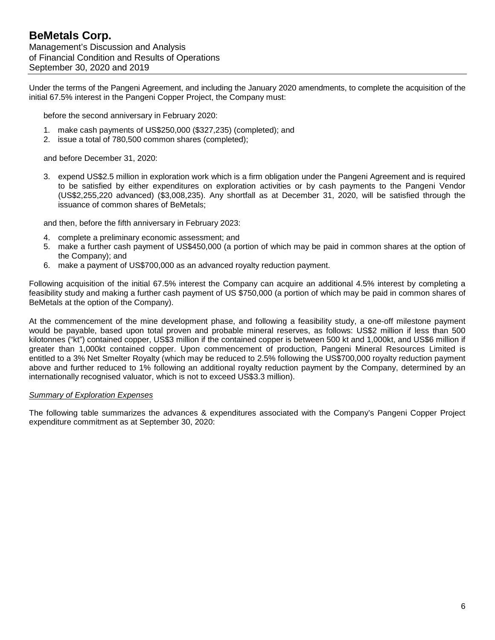Under the terms of the Pangeni Agreement, and including the January 2020 amendments, to complete the acquisition of the initial 67.5% interest in the Pangeni Copper Project, the Company must:

before the second anniversary in February 2020:

- 1. make cash payments of US\$250,000 (\$327,235) (completed); and
- 2. issue a total of 780,500 common shares (completed);

and before December 31, 2020:

3. expend US\$2.5 million in exploration work which is a firm obligation under the Pangeni Agreement and is required to be satisfied by either expenditures on exploration activities or by cash payments to the Pangeni Vendor (US\$2,255,220 advanced) (\$3,008,235). Any shortfall as at December 31, 2020, will be satisfied through the issuance of common shares of BeMetals;

and then, before the fifth anniversary in February 2023:

- 4. complete a preliminary economic assessment; and
- 5. make a further cash payment of US\$450,000 (a portion of which may be paid in common shares at the option of the Company); and
- 6. make a payment of US\$700,000 as an advanced royalty reduction payment.

Following acquisition of the initial 67.5% interest the Company can acquire an additional 4.5% interest by completing a feasibility study and making a further cash payment of US \$750,000 (a portion of which may be paid in common shares of BeMetals at the option of the Company).

At the commencement of the mine development phase, and following a feasibility study, a one-off milestone payment would be payable, based upon total proven and probable mineral reserves, as follows: US\$2 million if less than 500 kilotonnes ("kt") contained copper, US\$3 million if the contained copper is between 500 kt and 1,000kt, and US\$6 million if greater than 1,000kt contained copper. Upon commencement of production, Pangeni Mineral Resources Limited is entitled to a 3% Net Smelter Royalty (which may be reduced to 2.5% following the US\$700,000 royalty reduction payment above and further reduced to 1% following an additional royalty reduction payment by the Company, determined by an internationally recognised valuator, which is not to exceed US\$3.3 million).

#### *Summary of Exploration Expenses*

The following table summarizes the advances & expenditures associated with the Company's Pangeni Copper Project expenditure commitment as at September 30, 2020: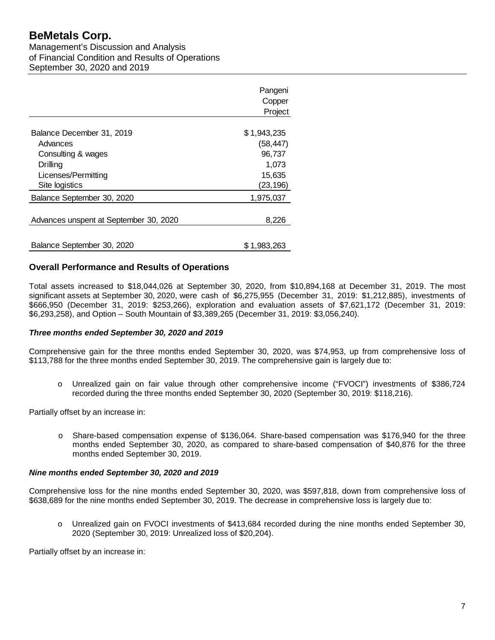# **BeMetals Corp.**

Management's Discussion and Analysis of Financial Condition and Results of Operations September 30, 2020 and 2019

|                                        | Pangeni<br>Copper<br>Project |
|----------------------------------------|------------------------------|
|                                        |                              |
| Balance December 31, 2019              | \$1,943,235                  |
| Advances                               | (58, 447)                    |
| Consulting & wages                     | 96,737                       |
| Drilling                               | 1,073                        |
| Licenses/Permitting                    | 15,635                       |
| Site logistics                         | (23,196)                     |
| Balance September 30, 2020             | 1,975,037                    |
| Advances unspent at September 30, 2020 | 8,226                        |
| Balance September 30, 2020             | \$1,983,263                  |

# **Overall Performance and Results of Operations**

Total assets increased to \$18,044,026 at September 30, 2020, from \$10,894,168 at December 31, 2019. The most significant assets at September 30, 2020, were cash of \$6,275,955 (December 31, 2019: \$1,212,885), investments of \$666,950 (December 31, 2019: \$253,266), exploration and evaluation assets of \$7,621,172 (December 31, 2019: \$6,293,258), and Option – South Mountain of \$3,389,265 (December 31, 2019: \$3,056,240).

### *Three months ended September 30, 2020 and 2019*

Comprehensive gain for the three months ended September 30, 2020, was \$74,953, up from comprehensive loss of \$113,788 for the three months ended September 30, 2019. The comprehensive gain is largely due to:

o Unrealized gain on fair value through other comprehensive income ("FVOCI") investments of \$386,724 recorded during the three months ended September 30, 2020 (September 30, 2019: \$118,216).

Partially offset by an increase in:

o Share-based compensation expense of \$136,064. Share-based compensation was \$176,940 for the three months ended September 30, 2020, as compared to share-based compensation of \$40,876 for the three months ended September 30, 2019.

#### *Nine months ended September 30, 2020 and 2019*

Comprehensive loss for the nine months ended September 30, 2020, was \$597,818, down from comprehensive loss of \$638,689 for the nine months ended September 30, 2019. The decrease in comprehensive loss is largely due to:

o Unrealized gain on FVOCI investments of \$413,684 recorded during the nine months ended September 30, 2020 (September 30, 2019: Unrealized loss of \$20,204).

Partially offset by an increase in: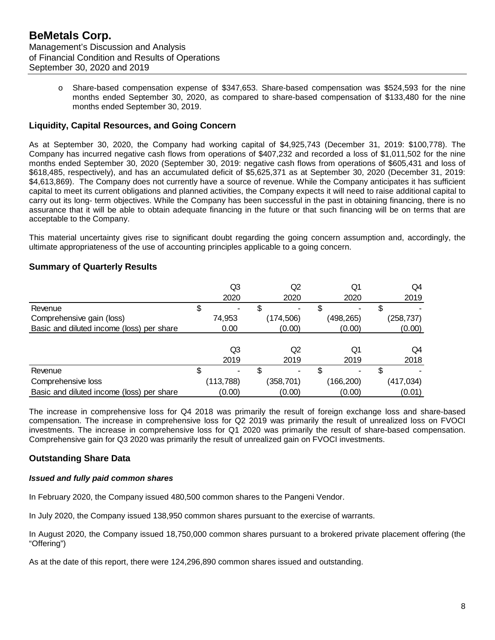o Share-based compensation expense of \$347,653. Share-based compensation was \$524,593 for the nine months ended September 30, 2020, as compared to share-based compensation of \$133,480 for the nine months ended September 30, 2019.

# **Liquidity, Capital Resources, and Going Concern**

As at September 30, 2020, the Company had working capital of \$4,925,743 (December 31, 2019: \$100,778). The Company has incurred negative cash flows from operations of \$407,232 and recorded a loss of \$1,011,502 for the nine months ended September 30, 2020 (September 30, 2019: negative cash flows from operations of \$605,431 and loss of \$618,485, respectively), and has an accumulated deficit of \$5,625,371 as at September 30, 2020 (December 31, 2019: \$4,613,869). The Company does not currently have a source of revenue. While the Company anticipates it has sufficient capital to meet its current obligations and planned activities, the Company expects it will need to raise additional capital to carry out its long- term objectives. While the Company has been successful in the past in obtaining financing, there is no assurance that it will be able to obtain adequate financing in the future or that such financing will be on terms that are acceptable to the Company.

This material uncertainty gives rise to significant doubt regarding the going concern assumption and, accordingly, the ultimate appropriateness of the use of accounting principles applicable to a going concern.

### **Summary of Quarterly Results**

|                                           |    | Q3         | Q2         | Q1         | Q4         |
|-------------------------------------------|----|------------|------------|------------|------------|
|                                           |    | 2020       | 2020       | 2020       | 2019       |
| Revenue                                   | Φ  |            |            | \$         |            |
| Comprehensive gain (loss)                 |    | 74,953     | (174, 506) | (498, 265) | (258, 737) |
| Basic and diluted income (loss) per share |    | 0.00       | (0.00)     | (0.00)     | (0.00)     |
|                                           |    |            |            |            |            |
|                                           |    | Q3         | Q2         | Q1         | Q4         |
|                                           |    | 2019       | 2019       | 2019       | 2018       |
| Revenue                                   | \$ | ۰.         | -          | \$         |            |
| Comprehensive loss                        |    | (113, 788) | (358,701)  | (166, 200) | (417, 034) |
| Basic and diluted income (loss) per share |    | (0.00)     | (0.00)     | (0.00)     | (0.01)     |

The increase in comprehensive loss for Q4 2018 was primarily the result of foreign exchange loss and share-based compensation. The increase in comprehensive loss for Q2 2019 was primarily the result of unrealized loss on FVOCI investments. The increase in comprehensive loss for Q1 2020 was primarily the result of share-based compensation. Comprehensive gain for Q3 2020 was primarily the result of unrealized gain on FVOCI investments.

# **Outstanding Share Data**

#### *Issued and fully paid common shares*

In February 2020, the Company issued 480,500 common shares to the Pangeni Vendor.

In July 2020, the Company issued 138,950 common shares pursuant to the exercise of warrants.

In August 2020, the Company issued 18,750,000 common shares pursuant to a brokered private placement offering (the "Offering")

As at the date of this report, there were 124,296,890 common shares issued and outstanding.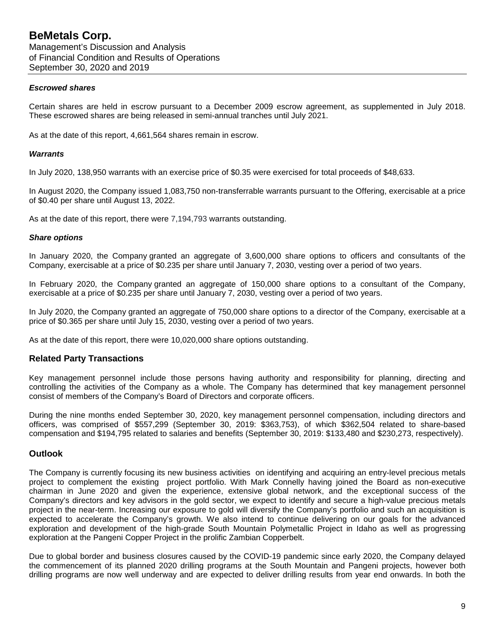#### *Escrowed shares*

Certain shares are held in escrow pursuant to a December 2009 escrow agreement, as supplemented in July 2018. These escrowed shares are being released in semi-annual tranches until July 2021.

As at the date of this report, 4,661,564 shares remain in escrow.

#### *Warrants*

In July 2020, 138,950 warrants with an exercise price of \$0.35 were exercised for total proceeds of \$48,633.

In August 2020, the Company issued 1,083,750 non-transferrable warrants pursuant to the Offering, exercisable at a price of \$0.40 per share until August 13, 2022.

As at the date of this report, there were 7,194,793 warrants outstanding.

#### *Share options*

In January 2020, the Company granted an aggregate of 3,600,000 share options to officers and consultants of the Company, exercisable at a price of \$0.235 per share until January 7, 2030, vesting over a period of two years.

In February 2020, the Company granted an aggregate of 150,000 share options to a consultant of the Company, exercisable at a price of \$0.235 per share until January 7, 2030, vesting over a period of two years.

In July 2020, the Company granted an aggregate of 750,000 share options to a director of the Company, exercisable at a price of \$0.365 per share until July 15, 2030, vesting over a period of two years.

As at the date of this report, there were 10,020,000 share options outstanding.

### **Related Party Transactions**

Key management personnel include those persons having authority and responsibility for planning, directing and controlling the activities of the Company as a whole. The Company has determined that key management personnel consist of members of the Company's Board of Directors and corporate officers.

During the nine months ended September 30, 2020, key management personnel compensation, including directors and officers, was comprised of \$557,299 (September 30, 2019: \$363,753), of which \$362,504 related to share-based compensation and \$194,795 related to salaries and benefits (September 30, 2019: \$133,480 and \$230,273, respectively).

### **Outlook**

The Company is currently focusing its new business activities on identifying and acquiring an entry-level precious metals project to complement the existing project portfolio. With Mark Connelly having joined the Board as non-executive chairman in June 2020 and given the experience, extensive global network, and the exceptional success of the Company's directors and key advisors in the gold sector, we expect to identify and secure a high-value precious metals project in the near-term. Increasing our exposure to gold will diversify the Company's portfolio and such an acquisition is expected to accelerate the Company's growth. We also intend to continue delivering on our goals for the advanced exploration and development of the high-grade South Mountain Polymetallic Project in Idaho as well as progressing exploration at the Pangeni Copper Project in the prolific Zambian Copperbelt.

Due to global border and business closures caused by the COVID-19 pandemic since early 2020, the Company delayed the commencement of its planned 2020 drilling programs at the South Mountain and Pangeni projects, however both drilling programs are now well underway and are expected to deliver drilling results from year end onwards. In both the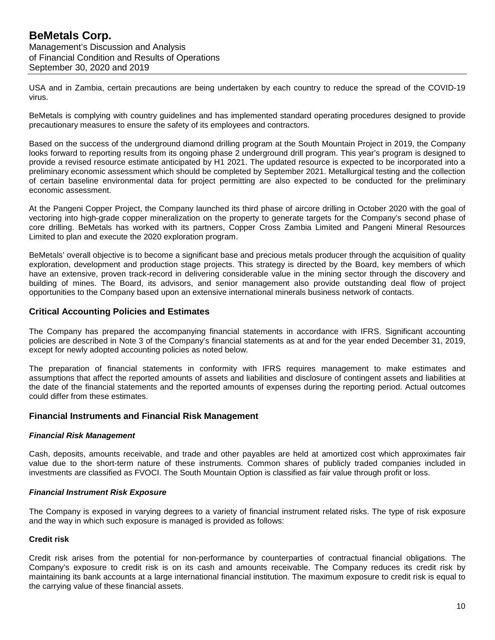USA and in Zambia, certain precautions are being undertaken by each country to reduce the spread of the COVID-19 virus.

BeMetals is complying with country guidelines and has implemented standard operating procedures designed to provide precautionary measures to ensure the safety of its employees and contractors.

Based on the success of the underground diamond drilling program at the South Mountain Project in 2019, the Company looks forward to reporting results from its ongoing phase 2 underground drill program. This year's program is designed to provide a revised resource estimate anticipated by H1 2021. The updated resource is expected to be incorporated into a preliminary economic assessment which should be completed by September 2021. Metallurgical testing and the collection of certain baseline environmental data for project permitting are also expected to be conducted for the preliminary economic assessment.

At the Pangeni Copper Project, the Company launched its third phase of aircore drilling in October 2020 with the goal of vectoring into high-grade copper mineralization on the property to generate targets for the Company's second phase of core drilling. BeMetals has worked with its partners, Copper Cross Zambia Limited and Pangeni Mineral Resources Limited to plan and execute the 2020 exploration program.

BeMetals' overall objective is to become a significant base and precious metals producer through the acquisition of quality exploration, development and production stage projects. This strategy is directed by the Board, key members of which have an extensive, proven track-record in delivering considerable value in the mining sector through the discovery and building of mines. The Board, its advisors, and senior management also provide outstanding deal flow of project opportunities to the Company based upon an extensive international minerals business network of contacts.

# **Critical Accounting Policies and Estimates**

The Company has prepared the accompanying financial statements in accordance with IFRS. Significant accounting policies are described in Note 3 of the Company's financial statements as at and for the year ended December 31, 2019, except for newly adopted accounting policies as noted below.

The preparation of financial statements in conformity with IFRS requires management to make estimates and assumptions that affect the reported amounts of assets and liabilities and disclosure of contingent assets and liabilities at the date of the financial statements and the reported amounts of expenses during the reporting period. Actual outcomes could differ from these estimates.

### **Financial Instruments and Financial Risk Management**

### *Financial Risk Management*

Cash, deposits, amounts receivable, and trade and other payables are held at amortized cost which approximates fair value due to the short-term nature of these instruments. Common shares of publicly traded companies included in investments are classified as FVOCI. The South Mountain Option is classified as fair value through profit or loss.

### *Financial Instrument Risk Exposure*

The Company is exposed in varying degrees to a variety of financial instrument related risks. The type of risk exposure and the way in which such exposure is managed is provided as follows:

### **Credit risk**

Credit risk arises from the potential for non-performance by counterparties of contractual financial obligations. The Company's exposure to credit risk is on its cash and amounts receivable. The Company reduces its credit risk by maintaining its bank accounts at a large international financial institution. The maximum exposure to credit risk is equal to the carrying value of these financial assets.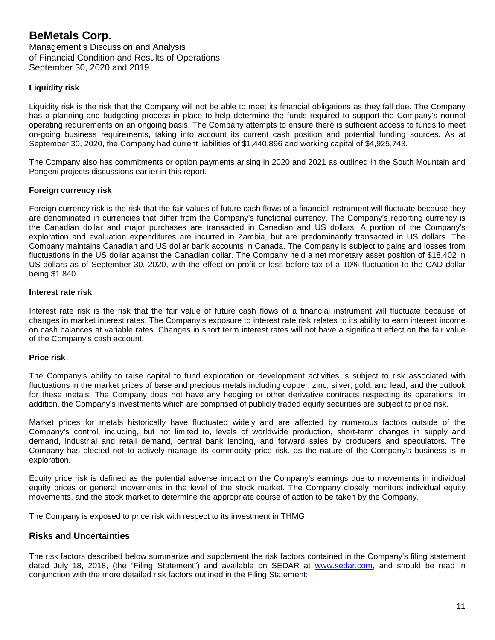#### **Liquidity risk**

Liquidity risk is the risk that the Company will not be able to meet its financial obligations as they fall due. The Company has a planning and budgeting process in place to help determine the funds required to support the Company's normal operating requirements on an ongoing basis. The Company attempts to ensure there is sufficient access to funds to meet on-going business requirements, taking into account its current cash position and potential funding sources. As at September 30, 2020, the Company had current liabilities of \$1,440,896 and working capital of \$4,925,743.

The Company also has commitments or option payments arising in 2020 and 2021 as outlined in the South Mountain and Pangeni projects discussions earlier in this report.

#### **Foreign currency risk**

Foreign currency risk is the risk that the fair values of future cash flows of a financial instrument will fluctuate because they are denominated in currencies that differ from the Company's functional currency. The Company's reporting currency is the Canadian dollar and major purchases are transacted in Canadian and US dollars. A portion of the Company's exploration and evaluation expenditures are incurred in Zambia, but are predominantly transacted in US dollars. The Company maintains Canadian and US dollar bank accounts in Canada. The Company is subject to gains and losses from fluctuations in the US dollar against the Canadian dollar. The Company held a net monetary asset position of \$18,402 in US dollars as of September 30, 2020, with the effect on profit or loss before tax of a 10% fluctuation to the CAD dollar being \$1,840.

#### **Interest rate risk**

Interest rate risk is the risk that the fair value of future cash flows of a financial instrument will fluctuate because of changes in market interest rates. The Company's exposure to interest rate risk relates to its ability to earn interest income on cash balances at variable rates. Changes in short term interest rates will not have a significant effect on the fair value of the Company's cash account.

#### **Price risk**

The Company's ability to raise capital to fund exploration or development activities is subject to risk associated with fluctuations in the market prices of base and precious metals including copper, zinc, silver, gold, and lead, and the outlook for these metals. The Company does not have any hedging or other derivative contracts respecting its operations. In addition, the Company's investments which are comprised of publicly traded equity securities are subject to price risk.

Market prices for metals historically have fluctuated widely and are affected by numerous factors outside of the Company's control, including, but not limited to, levels of worldwide production, short-term changes in supply and demand, industrial and retail demand, central bank lending, and forward sales by producers and speculators. The Company has elected not to actively manage its commodity price risk, as the nature of the Company's business is in exploration.

Equity price risk is defined as the potential adverse impact on the Company's earnings due to movements in individual equity prices or general movements in the level of the stock market. The Company closely monitors individual equity movements, and the stock market to determine the appropriate course of action to be taken by the Company.

The Company is exposed to price risk with respect to its investment in THMG.

### **Risks and Uncertainties**

The risk factors described below summarize and supplement the risk factors contained in the Company's filing statement dated July 18, 2018, (the "Filing Statement") and available on SEDAR at [www.sedar.com,](http://www.sedar.com/) and should be read in conjunction with the more detailed risk factors outlined in the Filing Statement: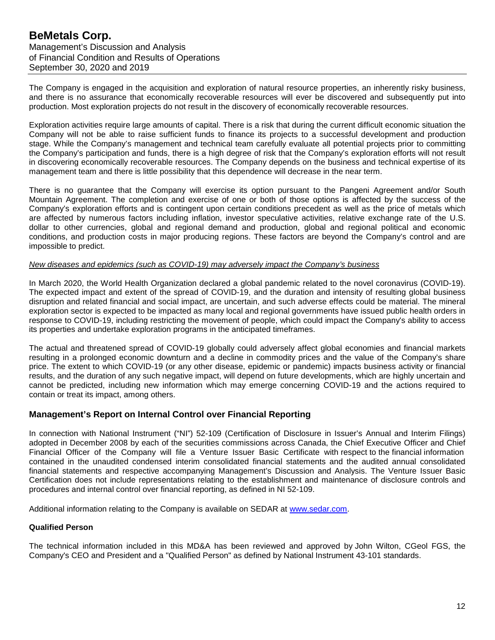The Company is engaged in the acquisition and exploration of natural resource properties, an inherently risky business, and there is no assurance that economically recoverable resources will ever be discovered and subsequently put into production. Most exploration projects do not result in the discovery of economically recoverable resources.

Exploration activities require large amounts of capital. There is a risk that during the current difficult economic situation the Company will not be able to raise sufficient funds to finance its projects to a successful development and production stage. While the Company's management and technical team carefully evaluate all potential projects prior to committing the Company's participation and funds, there is a high degree of risk that the Company's exploration efforts will not result in discovering economically recoverable resources. The Company depends on the business and technical expertise of its management team and there is little possibility that this dependence will decrease in the near term.

There is no guarantee that the Company will exercise its option pursuant to the Pangeni Agreement and/or South Mountain Agreement. The completion and exercise of one or both of those options is affected by the success of the Company's exploration efforts and is contingent upon certain conditions precedent as well as the price of metals which are affected by numerous factors including inflation, investor speculative activities, relative exchange rate of the U.S. dollar to other currencies, global and regional demand and production, global and regional political and economic conditions, and production costs in major producing regions. These factors are beyond the Company's control and are impossible to predict.

#### *New diseases and epidemics (such as COVID-19) may adversely impact the Company's business*

In March 2020, the World Health Organization declared a global pandemic related to the novel coronavirus (COVID-19). The expected impact and extent of the spread of COVID-19, and the duration and intensity of resulting global business disruption and related financial and social impact, are uncertain, and such adverse effects could be material. The mineral exploration sector is expected to be impacted as many local and regional governments have issued public health orders in response to COVID-19, including restricting the movement of people, which could impact the Company's ability to access its properties and undertake exploration programs in the anticipated timeframes.

The actual and threatened spread of COVID-19 globally could adversely affect global economies and financial markets resulting in a prolonged economic downturn and a decline in commodity prices and the value of the Company's share price. The extent to which COVID-19 (or any other disease, epidemic or pandemic) impacts business activity or financial results, and the duration of any such negative impact, will depend on future developments, which are highly uncertain and cannot be predicted, including new information which may emerge concerning COVID-19 and the actions required to contain or treat its impact, among others.

### **Management's Report on Internal Control over Financial Reporting**

In connection with National Instrument ("NI") 52-109 (Certification of Disclosure in Issuer's Annual and Interim Filings) adopted in December 2008 by each of the securities commissions across Canada, the Chief Executive Officer and Chief Financial Officer of the Company will file a Venture Issuer Basic Certificate with respect to the financial information contained in the unaudited condensed interim consolidated financial statements and the audited annual consolidated financial statements and respective accompanying Management's Discussion and Analysis. The Venture Issuer Basic Certification does not include representations relating to the establishment and maintenance of disclosure controls and procedures and internal control over financial reporting, as defined in NI 52-109.

Additional information relating to the Company is available on SEDAR at [www.sedar.com.](http://www.sedar.com/)

#### **Qualified Person**

The technical information included in this MD&A has been reviewed and approved by John Wilton, CGeol FGS, the Company's CEO and President and a "Qualified Person" as defined by National Instrument 43-101 standards.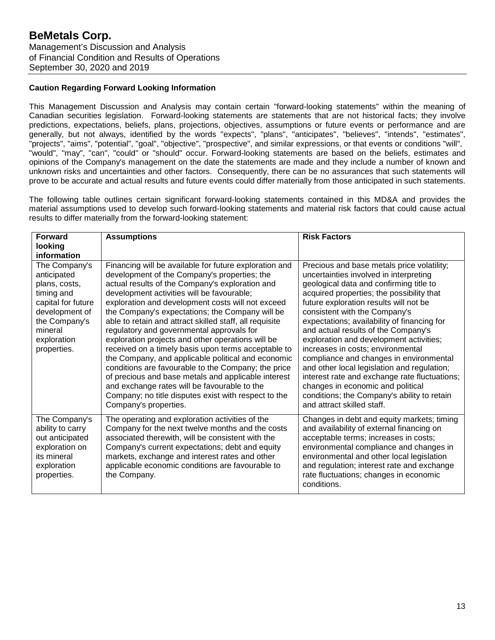#### **Caution Regarding Forward Looking Information**

This Management Discussion and Analysis may contain certain "forward-looking statements" within the meaning of Canadian securities legislation. Forward-looking statements are statements that are not historical facts; they involve predictions, expectations, beliefs, plans, projections, objectives, assumptions or future events or performance and are generally, but not always, identified by the words "expects", "plans", "anticipates", "believes", "intends", "estimates", "projects", "aims", "potential", "goal", "objective", "prospective", and similar expressions, or that events or conditions "will", "would", "may", "can", "could" or "should" occur. Forward-looking statements are based on the beliefs, estimates and opinions of the Company's management on the date the statements are made and they include a number of known and unknown risks and uncertainties and other factors. Consequently, there can be no assurances that such statements will prove to be accurate and actual results and future events could differ materially from those anticipated in such statements.

The following table outlines certain significant forward-looking statements contained in this MD&A and provides the material assumptions used to develop such forward-looking statements and material risk factors that could cause actual results to differ materially from the forward-looking statement:

| <b>Forward</b><br>looking<br>information                                                                                                                      | <b>Assumptions</b>                                                                                                                                                                                                                                                                                                                                                                                                                                                                                                                                                                                                                                                                                                                                                                                                                       | <b>Risk Factors</b>                                                                                                                                                                                                                                                                                                                                                                                                                                                                                                                                                                                                                                                                        |
|---------------------------------------------------------------------------------------------------------------------------------------------------------------|------------------------------------------------------------------------------------------------------------------------------------------------------------------------------------------------------------------------------------------------------------------------------------------------------------------------------------------------------------------------------------------------------------------------------------------------------------------------------------------------------------------------------------------------------------------------------------------------------------------------------------------------------------------------------------------------------------------------------------------------------------------------------------------------------------------------------------------|--------------------------------------------------------------------------------------------------------------------------------------------------------------------------------------------------------------------------------------------------------------------------------------------------------------------------------------------------------------------------------------------------------------------------------------------------------------------------------------------------------------------------------------------------------------------------------------------------------------------------------------------------------------------------------------------|
| The Company's<br>anticipated<br>plans, costs,<br>timing and<br>capital for future<br>development of<br>the Company's<br>mineral<br>exploration<br>properties. | Financing will be available for future exploration and<br>development of the Company's properties; the<br>actual results of the Company's exploration and<br>development activities will be favourable;<br>exploration and development costs will not exceed<br>the Company's expectations; the Company will be<br>able to retain and attract skilled staff, all requisite<br>regulatory and governmental approvals for<br>exploration projects and other operations will be<br>received on a timely basis upon terms acceptable to<br>the Company, and applicable political and economic<br>conditions are favourable to the Company; the price<br>of precious and base metals and applicable interest<br>and exchange rates will be favourable to the<br>Company; no title disputes exist with respect to the<br>Company's properties. | Precious and base metals price volatility;<br>uncertainties involved in interpreting<br>geological data and confirming title to<br>acquired properties; the possibility that<br>future exploration results will not be<br>consistent with the Company's<br>expectations; availability of financing for<br>and actual results of the Company's<br>exploration and development activities;<br>increases in costs; environmental<br>compliance and changes in environmental<br>and other local legislation and regulation;<br>interest rate and exchange rate fluctuations;<br>changes in economic and political<br>conditions; the Company's ability to retain<br>and attract skilled staff. |
| The Company's<br>ability to carry<br>out anticipated<br>exploration on<br>its mineral<br>exploration<br>properties.                                           | The operating and exploration activities of the<br>Company for the next twelve months and the costs<br>associated therewith, will be consistent with the<br>Company's current expectations; debt and equity<br>markets, exchange and interest rates and other<br>applicable economic conditions are favourable to<br>the Company.                                                                                                                                                                                                                                                                                                                                                                                                                                                                                                        | Changes in debt and equity markets; timing<br>and availability of external financing on<br>acceptable terms; increases in costs;<br>environmental compliance and changes in<br>environmental and other local legislation<br>and regulation; interest rate and exchange<br>rate fluctuations; changes in economic<br>conditions.                                                                                                                                                                                                                                                                                                                                                            |